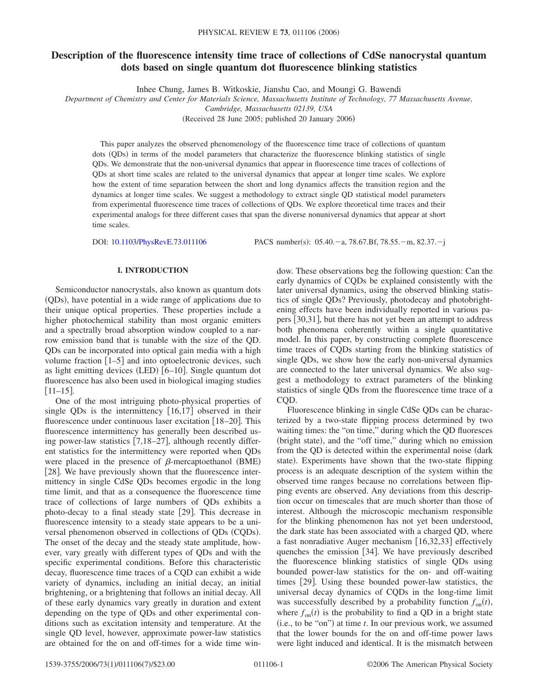### **Description of the fluorescence intensity time trace of collections of CdSe nanocrystal quantum dots based on single quantum dot fluorescence blinking statistics**

Inhee Chung, James B. Witkoskie, Jianshu Cao, and Moungi G. Bawendi

*Department of Chemistry and Center for Materials Science, Massachusetts Institute of Technology, 77 Massachusetts Avenue,*

*Cambridge, Massachusetts 02139, USA*

(Received 28 June 2005; published 20 January 2006)

This paper analyzes the observed phenomenology of the fluorescence time trace of collections of quantum dots (QDs) in terms of the model parameters that characterize the fluorescence blinking statistics of single QDs. We demonstrate that the non-universal dynamics that appear in fluorescence time traces of collections of QDs at short time scales are related to the universal dynamics that appear at longer time scales. We explore how the extent of time separation between the short and long dynamics affects the transition region and the dynamics at longer time scales. We suggest a methodology to extract single QD statistical model parameters from experimental fluorescence time traces of collections of QDs. We explore theoretical time traces and their experimental analogs for three different cases that span the diverse nonuniversal dynamics that appear at short time scales.

DOI: [10.1103/PhysRevE.73.011106](http://dx.doi.org/10.1103/PhysRevE.73.011106)

PACS number(s):  $05.40 - a$ , 78.67.Bf, 78.55. - m, 82.37. - j

#### **I. INTRODUCTION**

Semiconductor nanocrystals, also known as quantum dots (QDs), have potential in a wide range of applications due to their unique optical properties. These properties include a higher photochemical stability than most organic emitters and a spectrally broad absorption window coupled to a narrow emission band that is tunable with the size of the QD. QDs can be incorporated into optical gain media with a high volume fraction  $\lceil 1-5 \rceil$  and into optoelectronic devices, such as light emitting devices (LED) [6-10]. Single quantum dot fluorescence has also been used in biological imaging studies  $[11-15]$ .

One of the most intriguing photo-physical properties of single QDs is the intermittency  $[16,17]$  observed in their fluorescence under continuous laser excitation [18–20]. This fluorescence intermittency has generally been described using power-law statistics  $[7,18-27]$ , although recently different statistics for the intermittency were reported when QDs were placed in the presence of  $\beta$ -mercaptoethanol (BME) [28]. We have previously shown that the fluorescence intermittency in single CdSe QDs becomes ergodic in the long time limit, and that as a consequence the fluorescence time trace of collections of large numbers of QDs exhibits a photo-decay to a final steady state  $[29]$ . This decrease in fluorescence intensity to a steady state appears to be a universal phenomenon observed in collections of QDs (CQDs). The onset of the decay and the steady state amplitude, however, vary greatly with different types of QDs and with the specific experimental conditions. Before this characteristic decay, fluorescence time traces of a CQD can exhibit a wide variety of dynamics, including an initial decay, an initial brightening, or a brightening that follows an initial decay. All of these early dynamics vary greatly in duration and extent depending on the type of QDs and other experimental conditions such as excitation intensity and temperature. At the single QD level, however, approximate power-law statistics are obtained for the on and off-times for a wide time window. These observations beg the following question: Can the early dynamics of CQDs be explained consistently with the later universal dynamics, using the observed blinking statistics of single QDs? Previously, photodecay and photobrightening effects have been individually reported in various papers 30,31, but there has not yet been an attempt to address both phenomena coherently within a single quantitative model. In this paper, by constructing complete fluorescence time traces of CQDs starting from the blinking statistics of single QDs, we show how the early non-universal dynamics are connected to the later universal dynamics. We also suggest a methodology to extract parameters of the blinking statistics of single QDs from the fluorescence time trace of a COD.

Fluorescence blinking in single CdSe QDs can be characterized by a two-state flipping process determined by two waiting times: the "on time," during which the QD fluoresces (bright state), and the "off time," during which no emission from the OD is detected within the experimental noise (dark state). Experiments have shown that the two-state flipping process is an adequate description of the system within the observed time ranges because no correlations between flipping events are observed. Any deviations from this description occur on timescales that are much shorter than those of interest. Although the microscopic mechanism responsible for the blinking phenomenon has not yet been understood, the dark state has been associated with a charged QD, where a fast nonradiative Auger mechanism  $[16,32,33]$  effectively quenches the emission  $[34]$ . We have previously described the fluorescence blinking statistics of single QDs using bounded power-law statistics for the on- and off-waiting times [29]. Using these bounded power-law statistics, the universal decay dynamics of CQDs in the long-time limit was successfully described by a probability function  $f_{on}(t)$ , where  $f_{on}(t)$  is the probability to find a QD in a bright state (i.e., to be "on") at time *t*. In our previous work, we assumed that the lower bounds for the on and off-time power laws were light induced and identical. It is the mismatch between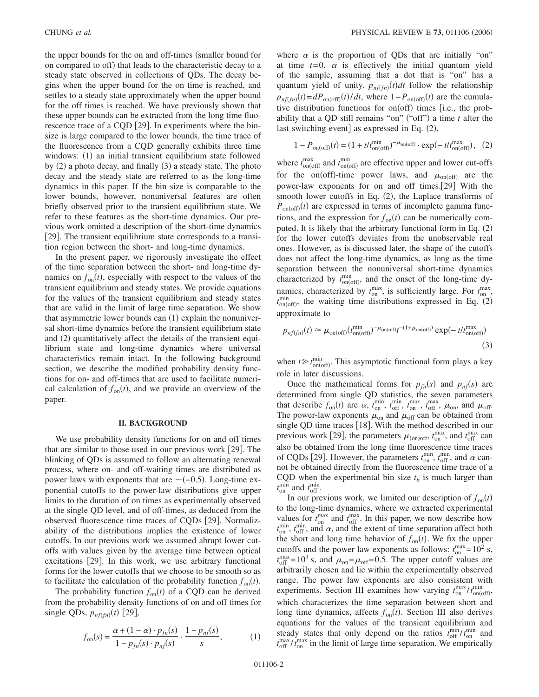the upper bounds for the on and off-times (smaller bound for on compared to off) that leads to the characteristic decay to a steady state observed in collections of QDs. The decay begins when the upper bound for the on time is reached, and settles to a steady state approximately when the upper bound for the off times is reached. We have previously shown that these upper bounds can be extracted from the long time fluorescence trace of a CQD [29]. In experiments where the binsize is large compared to the lower bounds, the time trace of the fluorescence from a CQD generally exhibits three time windows: (1) an initial transient equilibrium state followed by (2) a photo decay, and finally (3) a steady state. The photo decay and the steady state are referred to as the long-time dynamics in this paper. If the bin size is comparable to the lower bounds, however, nonuniversal features are often briefly observed prior to the transient equilibrium state. We refer to these features as the short-time dynamics. Our previous work omitted a description of the short-time dynamics [29]. The transient equilibrium state corresponds to a transition region between the short- and long-time dynamics.

In the present paper, we rigorously investigate the effect of the time separation between the short- and long-time dynamics on  $f_{on}(t)$ , especially with respect to the values of the transient equilibrium and steady states. We provide equations for the values of the transient equilibrium and steady states that are valid in the limit of large time separation. We show that asymmetric lower bounds can (1) explain the nonuniversal short-time dynamics before the transient equilibrium state and (2) quantitatively affect the details of the transient equilibrium state and long-time dynamics where universal characteristics remain intact. In the following background section, we describe the modified probability density functions for on- and off-times that are used to facilitate numerical calculation of  $f_{on}(t)$ , and we provide an overview of the paper.

#### **II. BACKGROUND**

We use probability density functions for on and off times that are similar to those used in our previous work  $[29]$ . The blinking of QDs is assumed to follow an alternating renewal process, where on- and off-waiting times are distributed as power laws with exponents that are  $\sim$  (-0.5). Long-time exponential cutoffs to the power-law distributions give upper limits to the duration of on times as experimentally observed at the single QD level, and of off-times, as deduced from the observed fluorescence time traces of CQDs [29]. Normalizability of the distributions implies the existence of lower cutoffs. In our previous work we assumed abrupt lower cutoffs with values given by the average time between optical excitations [29]. In this work, we use arbitrary functional forms for the lower cutoffs that we choose to be smooth so as to facilitate the calculation of the probability function  $f_{on}(t)$ .

The probability function  $f_{on}(t)$  of a CQD can be derived from the probability density functions of on and off times for single QDs,  $p_{nf(fn)}(t)$  [29],

$$
f_{\text{on}}(s) = \frac{\alpha + (1 - \alpha) \cdot p_{fn}(s)}{1 - p_{fn}(s) \cdot p_{nf}(s)} \cdot \frac{1 - p_{nf}(s)}{s},\tag{1}
$$

where  $\alpha$  is the proportion of QDs that are initially "on" at time  $t=0$ .  $\alpha$  is effectively the initial quantum yield of the sample, assuming that a dot that is "on" has a quantum yield of unity.  $p_{nf(fn)}(t)dt$  follow the relationship  $p_{nf(fn)}(t) = dP_{on(off)}(t)/dt$ , where  $1-P_{on(off)}(t)$  are the cumulative distribution functions for on(off) times [i.e., the probability that a QD still remains "on" ("off") a time  $t$  after the last switching event] as expressed in Eq. (2),

$$
1 - P_{\text{on(off)}}(t) = (1 + t/t_{\text{on(off)}}^{\text{min}})^{-\mu_{\text{on(off)}}} \cdot \exp(-t/t_{\text{on(off)}}^{\text{max}}), \quad (2)
$$

where  $t_{\text{on(off)}}^{\text{max}}$  and  $t_{\text{on(off)}}^{\text{min}}$  are effective upper and lower cut-offs for the on(off)-time power laws, and  $\mu_{on(off)}$  are the power-law exponents for on and off times.[29] With the smooth lower cutoffs in Eq. (2), the Laplace transforms of  $P_{\text{on(off)}}(t)$  are expressed in terms of incomplete gamma functions, and the expression for  $f_{on}(t)$  can be numerically computed. It is likely that the arbitrary functional form in Eq. (2) for the lower cutoffs deviates from the unobservable real ones. However, as is discussed later, the shape of the cutoffs does not affect the long-time dynamics, as long as the time separation between the nonuniversal short-time dynamics characterized by  $t_{on(off)}^{min}$ , and the onset of the long-time dynamics, characterized by  $t_{on}^{max}$ , is sufficiently large. For  $t_{on}^{max}$ ,  $t_{\text{on(off)}}^{\text{min}}$ , the waiting time distributions expressed in Eq. (2) approximate to

$$
p_{nf(fh)}(t) \approx \mu_{\text{on(off)}}(t_{\text{on(off)}}^{\text{min}})^{-\mu_{\text{on(off)}}}t^{-(1+\mu_{\text{on(off)}})}\exp(-\,t/t_{\text{on(off)}}^{\text{max}})
$$
\n(3)

when  $t \geq t_{on(off)}^{min}$ . This asymptotic functional form plays a key role in later discussions.

Once the mathematical forms for  $p_{fn}(s)$  and  $p_{nf}(s)$  are determined from single QD statistics, the seven parameters that describe  $f_{on}(t)$  are  $\alpha$ ,  $t_{on}^{min}$ ,  $t_{off}^{min}$ ,  $t_{on}^{max}$ ,  $t_{off}^{max}$ ,  $\mu_{on}$ , and  $\mu_{off}$ . The power-law exponents  $\mu_{on}$  and  $\mu_{off}$  can be obtained from single QD time traces [18]. With the method described in our previous work [29], the parameters  $\mu_{\text{(on)off}}$ ,  $t_{\text{on}}^{\text{max}}$ , and  $t_{\text{off}}^{\text{max}}$  can also be obtained from the long time fluorescence time traces of CQDs [29]. However, the parameters  $t_{\text{on}}^{\text{min}}$ ,  $t_{\text{off}}^{\text{min}}$ , and  $\alpha$  cannot be obtained directly from the fluorescence time trace of a CQD when the experimental bin size  $t_b$  is much larger than  $t_{\text{on}}^{\text{min}}$  and  $t_{\text{off}}^{\text{min}}$ .

In our previous work, we limited our description of  $f_{on}(t)$ to the long-time dynamics, where we extracted experimental values for  $t_{on}^{\text{max}}$  and  $t_{off}^{\text{max}}$ . In this paper, we now describe how  $t_{\text{on}}^{\text{min}}$ ,  $t_{\text{off}}^{\text{min}}$ , and  $\alpha$ , and the extent of time separation affect both the short and long time behavior of  $f_{on}(t)$ . We fix the upper cutoffs and the power law exponents as follows:  $t_{on}^{\text{max}} = 10^2$  s,  $t_{off}^{max}$  = 10<sup>3</sup> s, and  $\mu_{on} = \mu_{off}$  = 0.5. The upper cutoff values are arbitrarily chosen and lie within the experimentally observed range. The power law exponents are also consistent with experiments. Section III examines how varying  $t_{on}^{\text{max}}/t_{on(off)}^{\text{min}}$ , which characterizes the time separation between short and long time dynamics, affects  $f_{on}(t)$ . Section III also derives equations for the values of the transient equilibrium and steady states that only depend on the ratios  $t_{\rm off}^{\rm min}/t_{\rm on}^{\rm min}$  and  $t_{\rm off}^{\rm max}/t_{\rm on}^{\rm max}$  in the limit of large time separation. We empirically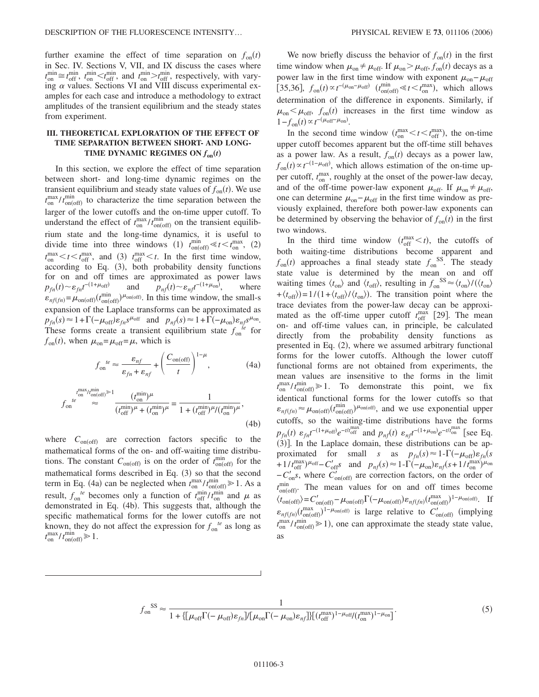further examine the effect of time separation on  $f_{on}(t)$ in Sec. IV. Sections V, VII, and IX discuss the cases where  $t_{\text{on}}^{\text{min}} \cong t_{\text{off}}^{\text{min}}$ ,  $t_{\text{on}}^{\text{min}} < t_{\text{off}}^{\text{min}}$ , and  $t_{\text{on}}^{\text{min}} > t_{\text{off}}^{\text{min}}$ , respectively, with varying  $\alpha$  values. Sections VI and VIII discuss experimental examples for each case and introduce a methodology to extract amplitudes of the transient equilibrium and the steady states from experiment.

### **III. THEORETICAL EXPLORATION OF THE EFFECT OF TIME SEPARATION BETWEEN SHORT- AND LONG-TIME DYNAMIC REGIMES ON**  $f_{on}(t)$

In this section, we explore the effect of time separation between short- and long-time dynamic regimes on the transient equilibrium and steady state values of  $f_{on}(t)$ . We use  $t_{on}^{\text{max}}/t_{on(off)}^{\text{min}}$  to characterize the time separation between the larger of the lower cutoffs and the on-time upper cutoff. To understand the effect of  $t_{on}^{\text{max}}/t_{on(off)}^{\text{min}}$  on the transient equilibrium state and the long-time dynamics, it is useful to divide time into three windows (1)  $t_{on(off)}^{min} \ll t < t_{on}^{max}$ , (2)  $t_{\text{on}}^{\text{max}} < t < t_{\text{off}}^{\text{max}}$ , and (3)  $t_{\text{off}}^{\text{max}} < t$ . In the first time window, according to Eq. (3), both probability density functions for on and off times are approximated as power laws  $p_{fn}(t) \sim \varepsilon_{fn} t^{-(1+\mu_{off})}$  and  $p_{nf}(t)$  $\sim \varepsilon_{n f} t^{-(1+\mu_{\text{on}})}$ where  $\varepsilon_{n f(fn)} = \mu_{\text{on(off)}}(t_{\text{on(off)}}^{\text{min}})$ <sup> $\mu_{\text{on(off)}}$ . In this time window, the small-s</sup> expansion of the Laplace transforms can be approximated as  $p_{fn}(s) \approx 1 + \Gamma(-\mu_{off}) \varepsilon_{fn} s^{\mu_{off}}$  and  $p_{nf}(s) \approx 1 + \Gamma(-\mu_{on}) \varepsilon_{nf} s^{\mu_{on}}$ . These forms create a transient equilibrium state  $f_{on}^{te}$  for  $f_{on}(t)$ , when  $\mu_{on} = \mu_{off} = \mu$ , which is

$$
f_{\text{on}}^{te} \approx \frac{\varepsilon_{nf}}{\varepsilon_{fn} + \varepsilon_{nf}} + \left(\frac{C_{\text{on(off)}}}{t}\right)^{1-\mu},\tag{4a}
$$

$$
f_{\text{on}}^{t_{\text{on}}^{t_{\text{on}}/t_{\text{on}(\text{off})}^{\text{min}}\gg 1} \frac{(t_{\text{on}}^{\text{min}})^{\mu}}{(t_{\text{off}}^{\text{min}})^{\mu} + (t_{\text{on}}^{\text{min}})^{\mu}} = \frac{1}{1 + (t_{\text{off}}^{\text{min}})^{\mu}/(t_{\text{on}}^{\text{min}})^{\mu}},
$$
\n(4b)

where  $C_{\text{on(off)}}$  are correction factors specific to the mathematical forms of the on- and off-waiting time distributions. The constant  $C_{on(off)}$  is on the order of  $t_{on(off)}^{min}$  for the mathematical forms described in Eq. (3) so that the second term in Eq. (4a) can be neglected when  $t_{on}^{\text{max}}/t_{on(off)}^{\text{min}} \ge 1$ . As a result,  $f_{\text{on}}^{te}$  becomes only a function of  $t_{\text{off}}^{\text{min}}/t_{\text{on}}^{\text{min}}$  and  $\mu$  as demonstrated in Eq. (4b). This suggests that, although the specific mathematical forms for the lower cutoffs are not known, they do not affect the expression for  $f_{on}^{te}$  as long as  $t_{\text{on}}^{\text{max}}/t_{\text{on(off)}}^{\text{min}} \geq 1.$ 

We now briefly discuss the behavior of  $f_{on}(t)$  in the first time window when  $\mu_{on} \neq \mu_{off}$ . If  $\mu_{on} > \mu_{off}$ ,  $f_{on}(t)$  decays as a power law in the first time window with exponent  $\mu_{\text{on}} - \mu_{\text{off}}$ [35,36],  $f_{on}(t) \propto t^{-(\mu_{on}-\mu_{off})}$   $(t_{on(off)}^{min} \ll t < t_{on}^{max})$ , which allows determination of the difference in exponents. Similarly, if  $\mu_{\text{on}} < \mu_{\text{off}}$ ,  $f_{\text{on}}(t)$  increases in the first time window as  $1 - f_{\text{on}}(t) \propto t^{-(\mu_{\text{off}}-\mu_{\text{on}})}.$ 

In the second time window  $(t_{on}^{\text{max}} < t < t_{off}^{\text{max}})$ , the on-time upper cutoff becomes apparent but the off-time still behaves as a power law. As a result,  $f_{on}(t)$  decays as a power law,  $f_{on}(t) \propto t^{-(1-\mu_{off})}$ , which allows estimation of the on-time upper cutoff,  $t_{on}^{\text{max}}$ , roughly at the onset of the power-law decay, and of the off-time power-law exponent  $\mu_{off}$ . If  $\mu_{on} \neq \mu_{off}$ , one can determine  $\mu_{\text{on}} - \mu_{\text{off}}$  in the first time window as previously explained, therefore both power-law exponents can be determined by observing the behavior of  $f_{on}(t)$  in the first two windows.

In the third time window  $(t_{off}^{max} < t)$ , the cutoffs of both waiting-time distributions become apparent and  $f_{\text{on}}(t)$  approaches a final steady state  $f_{\text{on}}^{SS}$ . The steady state value is determined by the mean on and off waiting times  $\langle t_{on} \rangle$  and  $\langle t_{off} \rangle$ , resulting in  $f_{on}^{SS} \approx \langle t_{on} \rangle / (\langle t_{on} \rangle)$  $+\langle t_{\text{off}}\rangle = 1/(1+\langle t_{\text{off}}\rangle/\langle t_{\text{on}}\rangle)$ . The transition point where the trace deviates from the power-law decay can be approximated as the off-time upper cutoff  $t_{off}^{\text{max}}$  [29]. The mean on- and off-time values can, in principle, be calculated directly from the probability density functions as presented in Eq. (2), where we assumed arbitrary functional forms for the lower cutoffs. Although the lower cutoff functional forms are not obtained from experiments, the mean values are insensitive to the forms in the limit  $t_{on}^{\text{max}}/t_{on(off)}^{\text{min}} \ge 1$ . To demonstrate this point, we fix identical functional forms for the lower cutoffs so that  $\varepsilon_{n f(fn)} \approx \mu_{\text{on(off)}}(t_{\text{on(off)}}^{\text{min}})^{\mu_{\text{on(off)}}}$ , and we use exponential upper cutoffs, so the waiting-time distributions have the forms  $p_{fn}(t)$   $\varepsilon_{fn}t^{-(1+\mu_{off})}e^{-t/t_{off}^{\max}}$  and  $p_{nf}(t)$   $\varepsilon_{nf}t^{-(1+\mu_{on})}e^{-t/t_{on}^{\max}}$  [see Eq. (3)]. In the Laplace domain, these distributions can be approximated for small *s* as  $p_{fn}(s) \approx 1 - \Gamma(-\mu_{off})\varepsilon_{fn}(s)$  $+1/t_{\text{off}}^{\text{max}}\mu_{\text{off}}-C_{\text{off}}'s$  and  $p_{nf}(s) \approx 1-\Gamma(-\mu_{\text{on}})\varepsilon_{nf}(s+1/t_{\text{on}}^{\text{max}})\mu_{\text{on}}$  $-C'_{on}$ s, where  $C'_{on(off)}$  are correction factors, on the order of  $t_{\text{on(off)}}^{\text{min}}$ . The mean values for on and off times become  $\langle t_{\text{on(off)}} \rangle = C'_{\text{on(off)}} - \mu_{\text{on(off)}} \Gamma(-\mu_{\text{on(off)}}) \epsilon_{n f(fn)} (t_{\text{on(off)}}^{\text{max}})^{1-\mu_{\text{on(off)}}}.$  If  $\varepsilon_{n f(fn)}(t_{\text{on(off)}}^{\text{max}})^{1-\mu_{\text{on(off)}}}$  is large relative to  $C'_{\text{on(off)}}$  (implying  $t_{on}^{\text{max}}/t_{on(off)}^{\text{min}} \ge 1$ ), one can approximate the steady state value, as

$$
f_{\text{on}}^{\text{SS}} \approx \frac{1}{1 + \{ \left[ \mu_{\text{off}} \Gamma(-\mu_{\text{off}}) \varepsilon_{fn} \right] / \left[ \mu_{\text{on}} \Gamma(-\mu_{\text{on}}) \varepsilon_{nf} \right] \} \left[ \left( t_{\text{off}}^{\text{max}} \right)^{1 - \mu_{\text{off}}} \left( t_{\text{on}}^{\text{max}} \right)^{1 - \mu_{\text{on}}} \right]}.
$$
\n(5)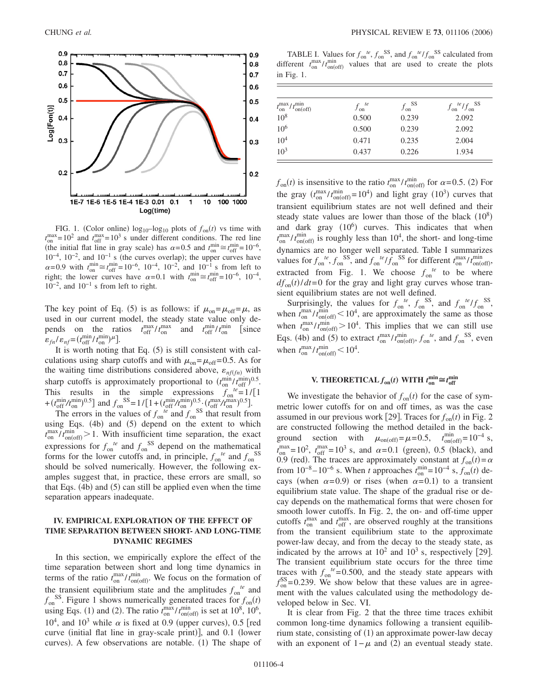

FIG. 1. (Color online)  $log_{10} - log_{10}$  plots of  $f_{on}(t)$  vs time with  $t_{\text{on}}^{\text{max}} = 10^2$  and  $t_{\text{off}}^{\text{max}} = 10^3$  s under different conditions. The red line (the initial flat line in gray scale) has  $\alpha = 0.5$  and  $t_{on}^{min} \approx t_{off}^{min} = 10^{-6}$ ,  $10^{-4}$ ,  $10^{-2}$ , and  $10^{-1}$  s (the curves overlap); the upper curves have  $\alpha$ =0.9 with  $t_{on}^{\text{min}} \approx t_{off}^{\text{min}} = 10^{-6}$ , 10<sup>-4</sup>, 10<sup>-2</sup>, and 10<sup>-1</sup> s from left to right; the lower curves have  $\alpha = 0.1$  with  $t_{\text{on}}^{\text{min}} \approx t_{\text{off}}^{\text{min}} = 10^{-6}$ ,  $10^{-4}$ ,  $10^{-2}$ , and  $10^{-1}$  s from left to right.

The key point of Eq. (5) is as follows: if  $\mu_{on} = \mu_{off} = \mu$ , as used in our current model, the steady state value only depends on the ratios  $t_{\rm off}^{\rm max}/t_{\rm on}^{\rm max}$  and  $t_{\rm off}^{\rm min}/t_{\rm on}^{\rm min}$  [since  $\varepsilon_{fn}/\varepsilon_{nf} = (t_{off}^{min}/t_{on}^{min})^{\mu}$ .

It is worth noting that Eq.  $(5)$  is still consistent with calculations using sharp cutoffs and with  $\mu_{on} = \mu_{off} = 0.5$ . As for the waiting time distributions considered above,  $\varepsilon_{n f(fn)}$  with sharp cutoffs is approximately proportional to  $(t_{on}^{\min}/t_{off}^{\min})^{0.5}$ . This results in the simple expressions  $f_{\text{on}}^{te} = 1/[1]$ +  $(t_{\text{off}}^{\text{min}}/t_{\text{on}}^{\text{min}})^{0.5}$ ] and  $f_{\text{on}}^{\text{SS}} = 1/[1 + (t_{\text{off}}^{\text{min}}/t_{\text{on}}^{\text{min}})^{0.5} \cdot (t_{\text{off}}^{\text{max}}/t_{\text{on}}^{\text{max}})^{0.5}]$ .

The errors in the values of  $f_{\text{on}}^{te}$  and  $f_{\text{on}}^{SS}$  that result from using Eqs.  $(4b)$  and  $(5)$  depend on the extent to which  $t_{on}^{\text{max}}/t_{on(off)}^{\text{min}} > 1$ . With insufficient time separation, the exact expressions for  $f_{\text{on}}^{te}$  and  $f_{\text{on}}^{SS}$  depend on the mathematical forms for the lower cutoffs and, in principle,  $f_{on}^{te}$  and  $f_{on}^{SS}$ should be solved numerically. However, the following examples suggest that, in practice, these errors are small, so that Eqs. (4b) and (5) can still be applied even when the time separation appears inadequate.

#### **IV. EMPIRICAL EXPLORATION OF THE EFFECT OF TIME SEPARATION BETWEEN SHORT- AND LONG-TIME DYNAMIC REGIMES**

In this section, we empirically explore the effect of the time separation between short and long time dynamics in terms of the ratio  $t_{on}^{max}/t_{on(off)}^{min}$ . We focus on the formation of the transient equilibrium state and the amplitudes  $f_{on}^{te}$  and  $f_{on}^{SS}$ . Figure 1 shows numerically generated traces for  $f_{on}(t)$ using Eqs. (1) and (2). The ratio  $t_{on}^{\text{max}}/t_{on(off)}^{\text{min}}$  is set at 10<sup>8</sup>, 10<sup>6</sup>,  $10<sup>4</sup>$ , and  $10<sup>3</sup>$  while  $\alpha$  is fixed at 0.9 (upper curves), 0.5 [red curve (initial flat line in gray-scale print)], and 0.1 (lower curves). A few observations are notable. (1) The shape of

TABLE I. Values for  $f_{\text{on}}^{te}$ ,  $f_{\text{on}}^{SS}$ , and  $f_{\text{on}}^{te}/f_{\text{on}}^{SS}$  calculated from different  $t_{on}^{\text{max}}/t_{on(off)}^{\text{min}}$  values that are used to create the plots in Fig. 1.

| $t_{\text{on}}^{\text{max}}/t_{\text{on(off)}}^{\text{min}}$ | $f_{\rm on}^{\phantom{\rm s}te}$ | $f_{\rm on}^{\text{SS}}$ | $f_{\text{on}}^{te}/f_{\text{on}}^{SS}$ |
|--------------------------------------------------------------|----------------------------------|--------------------------|-----------------------------------------|
| $10^{8}$                                                     | 0.500                            | 0.239                    | 2.092                                   |
| $10^{6}$                                                     | 0.500                            | 0.239                    | 2.092                                   |
| $10^{4}$                                                     | 0.471                            | 0.235                    | 2.004                                   |
| $10^{3}$                                                     | 0.437                            | 0.226                    | 1.934                                   |

 $f_{\text{on}}(t)$  is insensitive to the ratio  $t_{\text{on}}^{\text{max}}/t_{\text{on(off)}}^{\text{min}}$  for  $\alpha$ =0.5. (2) For the gray  $(t_{on}^{\text{max}}/t_{on(off)}^{\text{min}}=10^4)$  and light gray  $(10^3)$  curves that transient equilibrium states are not well defined and their steady state values are lower than those of the black  $(10^8)$ and dark gray  $(10^6)$  curves. This indicates that when  $t_{on}^{\text{max}}/t_{on(off)}^{\text{min}}$  is roughly less than 10<sup>4</sup>, the short- and long-time dynamics are no longer well separated. Table I summarizes values for  $f_{\text{on}}^{te}$ ,  $f_{\text{on}}^{SS}$ , and  $f_{\text{on}}^{te}/f_{\text{on}}^{SS}$  for different  $t_{\text{on}}^{\text{max}}/t_{\text{on(off)}}^{\text{min}}$ , extracted from Fig. 1. We choose  $f_{on}^{te}$  to be where  $df_{on}(t)/dt = 0$  for the gray and light gray curves whose transient equilibrium states are not well defined.

Surprisingly, the values for  $f_{on}^{te}$ ,  $f_{on}^{SS}$ , and  $f_{on}^{te}/f_{on}^{SS}$ , when  $t_{on}^{\text{max}}/t_{on(off)}^{\text{min}} < 10^4$ , are approximately the same as those when  $t_{on}^{\text{max}}/t_{on(off)}^{\text{min}} > 10^4$ . This implies that we can still use Eqs. (4b) and (5) to extract  $t_{on}^{\text{max}}/t_{on(off)}^{\text{min}}, f_{on}^{\text{te}},$  and  $f_{on}^{\text{SS}}$ , even when  $t_{\text{on}}^{\text{max}}/t_{\text{on(off)}}^{\text{min}} < 10^4$ .

# **V. THEORETICAL**  $f_{on}(t)$  **WITH**  $t_{on}^{\min} \cong t_{off}^{\min}$

We investigate the behavior of  $f_{on}(t)$  for the case of symmetric lower cutoffs for on and off times, as was the case assumed in our previous work [29]. Traces for  $f_{on}(t)$  in Fig. 2 are constructed following the method detailed in the background section with  $\mu_{on(off)} = \mu = 0.5$ ,  $t_{on(off)}^{min} = 10^{-4}$  s,  $t_{on}^{\text{max}} = 10^2$ ,  $t_{off}^{\text{max}} = 10^3$  s, and  $\alpha = 0.1$  (green), 0.5 (black), and 0.9 (red). The traces are approximately constant at  $f_{on}(t) = \alpha$ from  $10^{-8} - 10^{-6}$  s. When *t* approaches  $t_{on}^{min} = 10^{-4}$  s,  $f_{on}(t)$  decays (when  $\alpha = 0.9$ ) or rises (when  $\alpha = 0.1$ ) to a transient equilibrium state value. The shape of the gradual rise or decay depends on the mathematical forms that were chosen for smooth lower cutoffs. In Fig. 2, the on- and off-time upper cutoffs  $t_{\text{on}}^{\text{max}}$  and  $t_{\text{off}}^{\text{max}}$ , are observed roughly at the transitions from the transient equilibrium state to the approximate power-law decay, and from the decay to the steady state, as indicated by the arrows at  $10^2$  and  $10^3$  s, respectively [29]. The transient equilibrium state occurs for the three time traces with  $f_{on}^{te} = 0.500$ , and the steady state appears with  $f_{\text{on}}^{\text{SS}}$ =0.239. We show below that these values are in agreement with the values calculated using the methodology developed below in Sec. VI.

It is clear from Fig. 2 that the three time traces exhibit common long-time dynamics following a transient equilibrium state, consisting of (1) an approximate power-law decay with an exponent of  $1 - \mu$  and (2) an eventual steady state.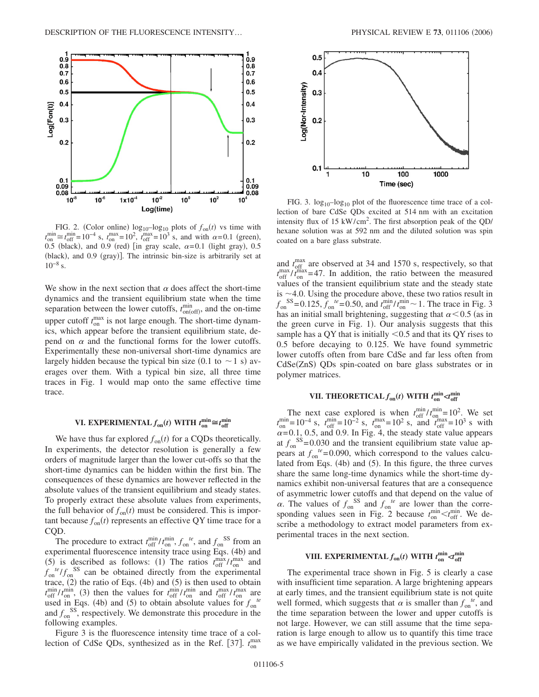

FIG. 2. (Color online)  $log_{10} - log_{10}$  plots of  $f_{on}(t)$  vs time with  $t_{on}^{\text{min}} \approx t_{off}^{\text{min}} = 10^{-4}$  s,  $t_{on}^{\text{max}} = 10^{2}$ ,  $t_{off}^{\text{max}} = 10^{3}$  s, and with  $\alpha = 0.1$  (green), 0.5 (black), and 0.9 (red) [in gray scale,  $\alpha = 0.1$  (light gray), 0.5 (black), and 0.9 (gray)]. The intrinsic bin-size is arbitrarily set at  $10^{-8}$  s.

We show in the next section that  $\alpha$  does affect the short-time dynamics and the transient equilibrium state when the time separation between the lower cutoffs,  $t_{on(off)}^{min}$ , and the on-time upper cutoff  $t_{on}^{\text{max}}$  is not large enough. The short-time dynamics, which appear before the transient equilibrium state, depend on  $\alpha$  and the functional forms for the lower cutoffs. Experimentally these non-universal short-time dynamics are largely hidden because the typical bin size (0.1 to  $\sim$  1 s) averages over them. With a typical bin size, all three time traces in Fig. 1 would map onto the same effective time trace.

# **VI. EXPERIMENTAL**  $f_{on}(t)$  **WITH**  $t_{on}^{\min} \cong t_{off}^{\min}$

We have thus far explored  $f_{on}(t)$  for a CQDs theoretically. In experiments, the detector resolution is generally a few orders of magnitude larger than the lower cut-offs so that the short-time dynamics can be hidden within the first bin. The consequences of these dynamics are however reflected in the absolute values of the transient equilibrium and steady states. To properly extract these absolute values from experiments, the full behavior of  $f_{on}(t)$  must be considered. This is impor $t$  tant because  $f_{on}(t)$  represents an effective QY time trace for a COD.

The procedure to extract  $t_{off}^{\min}/t_{on}^{\min}$ ,  $f_{on}^{te}$ , and  $f_{on}^{SS}$  from an experimental fluorescence intensity trace using Eqs. (4b) and (5) is described as follows: (1) The ratios  $t_{off}^{\text{max}}/t_{on}^{\text{max}}$  and  $f_{on}^{te}/f_{on}^{SS}$  can be obtained directly from the experimental trace,  $(2)$  the ratio of Eqs.  $(4b)$  and  $(5)$  is then used to obtain  $t_{off}^{\min}/t_{on}^{\min}$ , (3) then the values for  $t_{off}^{\min}/t_{on}^{\min}$  and  $t_{off}^{\max}/t_{on}^{\max}$  are used in Eqs. (4b) and (5) to obtain absolute values for  $f_{\text{on}}^{te}$ and  $f_{\text{on}}^{SS}$ , respectively. We demonstrate this procedure in the following examples.

Figure 3 is the fluorescence intensity time trace of a collection of CdSe QDs, synthesized as in the Ref. [37].  $t_{on}^{\text{max}}$ 



FIG. 3.  $log_{10} - log_{10}$  plot of the fluorescence time trace of a collection of bare CdSe QDs excited at 514 nm with an excitation intensity flux of 15 kW/cm<sup>2</sup>. The first absorption peak of the QD/ hexane solution was at 592 nm and the diluted solution was spin coated on a bare glass substrate.

and  $t_{\text{off}}^{\text{max}}$  are observed at 34 and 1570 s, respectively, so that  $t_{\rm off}^{\rm max}/t_{\rm on}^{\rm max}=47$ . In addition, the ratio between the measured values of the transient equilibrium state and the steady state is  $\sim$  4.0. Using the procedure above, these two ratios result in  $f_{on}^{SS} = 0.125, f_{on}^{te} = 0.50$ , and  $t_{off}^{min}/t_{on}^{min} \sim 1$ . The trace in Fig. 3 has an initial small brightening, suggesting that  $\alpha$  < 0.5 (as in the green curve in Fig. 1). Our analysis suggests that this sample has a QY that is initially  $\leq 0.5$  and that its QY rises to 0.5 before decaying to 0.125. We have found symmetric lower cutoffs often from bare CdSe and far less often from CdSe(ZnS) QDs spin-coated on bare glass substrates or in polymer matrices.

# **VII. THEORETICAL**  $f_{\text{on}}(t)$  <code>WITH</code>  $t_{\text{on}}^{\text{min}}$   $\prec$   $t_{\text{off}}^{\text{min}}$

The next case explored is when  $t_{\text{off}}^{\text{min}}/t_{\text{on}}^{\text{min}} = 10^2$ . We set  $t_{on}^{\text{min}} = 10^{-4}$  s,  $t_{off}^{\text{min}} = 10^{-2}$  s,  $t_{on}^{\text{max}} = 10^{2}$  s, and  $t_{off}^{\text{max}} = 10^{3}$  s with  $\alpha$ = 0.1, 0.5, and 0.9. In Fig. 4, the steady state value appears at  $f_{\text{on}}^{\text{SS}}$ =0.030 and the transient equilibrium state value appears at  $f_{on}^{te}$ = 0.090, which correspond to the values calculated from Eqs. (4b) and (5). In this figure, the three curves share the same long-time dynamics while the short-time dynamics exhibit non-universal features that are a consequence of asymmetric lower cutoffs and that depend on the value of  $\alpha$ . The values of  $f_{\text{on}}^{SS}$  and  $f_{\text{on}}^{te}$  are lower than the corresponding values seen in Fig. 2 because  $t_{on}^{\min} < t_{off}^{\min}$ . We describe a methodology to extract model parameters from experimental traces in the next section.

# **VIII. EXPERIMENTAL**  $f_{\text{on}}(t)$  **WITH**  $t_{\text{on}}^{\text{min}}$   $\prec t_{\text{off}}^{\text{min}}$

The experimental trace shown in Fig. 5 is clearly a case with insufficient time separation. A large brightening appears at early times, and the transient equilibrium state is not quite well formed, which suggests that  $\alpha$  is smaller than  $f_{on}^{te}$ , and the time separation between the lower and upper cutoffs is not large. However, we can still assume that the time separation is large enough to allow us to quantify this time trace as we have empirically validated in the previous section. We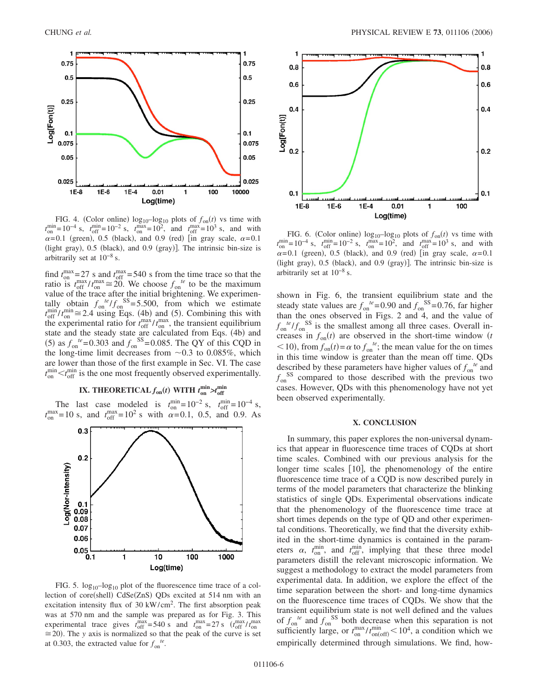

FIG. 4. (Color online)  $log_{10} - log_{10}$  plots of  $f_{on}(t)$  vs time with  $t_{\text{on}}^{\text{min}} = 10^{-4}$  s,  $t_{\text{off}}^{\text{min}} = 10^{-2}$  s,  $t_{\text{on}}^{\text{max}} = 10^{2}$ , and  $t_{\text{off}}^{\text{max}} = 10^{3}$  s, and with  $\alpha$ =0.1 (green), 0.5 (black), and 0.9 (red) [in gray scale,  $\alpha$ =0.1 (light gray), 0.5 (black), and 0.9 (gray)]. The intrinsic bin-size is arbitrarily set at  $10^{-8}$  s.

find  $t_{on}^{\text{max}} = 27$  s and  $t_{off}^{\text{max}} = 540$  s from the time trace so that the ratio is  $t_{\text{off}}^{\text{max}}/t_{\text{on}}^{\text{max}} \cong 20$ . We choose  $f_{\text{on}}^{te}$  to be the maximum value of the trace after the initial brightening. We experimentally obtain  $f_{on}^{te}/f_{on}^{SS}= 5.500$ , from which we estimate  $t_{off}^{\text{min}}/t_{on}^{\text{min}} \cong 2.4$  using Eqs. (4b) and (5). Combining this with the experimental ratio for  $t_{\rm off}^{\rm max}/t_{\rm on}^{\rm max}$ , the transient equilibrium state and the steady state are calculated from Eqs. (4b) and (5) as  $f_{\text{on}}^{te} = 0.303$  and  $f_{\text{on}}^{SS} = 0.085$ . The QY of this CQD in the long-time limit decreases from  $\sim 0.3$  to 0.085%, which are lower than those of the first example in Sec. VI. The case  $t_{\text{on}}^{\text{min}}$   $\lt t_{\text{off}}^{\text{min}}$  is the one most frequently observed experimentally.

# **IX.** THEORETICAL  $f_{on}(t)$  WITH  $t_{on}^{min} > t_{off}^{min}$

The last case modeled is  $t_{on}^{min}$  = 10<sup>-2</sup> s,  $t_{off}^{min}$  = 10<sup>-4</sup> s,  $t_{on}^{\text{max}} = 10 \text{ s}$ , and  $t_{off}^{\text{max}} = 10^2 \text{ s}$  with  $\alpha = 0.1$ , 0.5, and 0.9. As



FIG. 5.  $log_{10}$ - $log_{10}$  plot of the fluorescence time trace of a collection of core(shell) CdSe(ZnS) QDs excited at 514 nm with an excitation intensity flux of 30 kW/cm2. The first absorption peak was at 570 nm and the sample was prepared as for Fig. 3. This experimental trace gives  $t_{off}^{max} = 540 \text{ s}$  and  $t_{on}^{max} = 27 \text{ s}$   $(t_{off}^{max}/t_{on}^{max})$  $\approx$  20). The *y* axis is normalized so that the peak of the curve is set at 0.303, the extracted value for  $f_{\text{on}}^{te}$ .



FIG. 6. (Color online)  $log_{10} - log_{10}$  plots of  $f_{on}(t)$  vs time with  $t_{on}^{\text{min}} = 10^{-4}$  s,  $t_{off}^{\text{min}} = 10^{-2}$  s,  $t_{on}^{\text{max}} = 10^{2}$ , and  $t_{off}^{\text{max}} = 10^{3}$  s, and with  $\alpha$ =0.1 (green), 0.5 (black), and 0.9 (red) [in gray scale,  $\alpha$ =0.1 (light gray), 0.5 (black), and 0.9 (gray)]. The intrinsic bin-size is arbitrarily set at  $10^{-8}$  s.

shown in Fig. 6, the transient equilibrium state and the steady state values are  $f_{on}^{te} = 0.90$  and  $f_{on}^{SS} = 0.76$ , far higher than the ones observed in Figs. 2 and 4, and the value of  $f_{\text{on}}^{te}/f_{\text{on}}^{SS}$  is the smallest among all three cases. Overall increases in  $f_{on}(t)$  are observed in the short-time window  $(t)$  $<$  10), from  $f_{on}(t) = \alpha$  to  $f_{on}^{te}$ ; the mean value for the on times in this time window is greater than the mean off time. QDs described by these parameters have higher values of  $f_{on}^{te}$  and  $f_{\text{on}}^{SS}$  compared to those described with the previous two cases. However, QDs with this phenomenology have not yet been observed experimentally.

#### **X. CONCLUSION**

In summary, this paper explores the non-universal dynamics that appear in fluorescence time traces of CQDs at short time scales. Combined with our previous analysis for the longer time scales  $[10]$ , the phenomenology of the entire fluorescence time trace of a CQD is now described purely in terms of the model parameters that characterize the blinking statistics of single QDs. Experimental observations indicate that the phenomenology of the fluorescence time trace at short times depends on the type of QD and other experimental conditions. Theoretically, we find that the diversity exhibited in the short-time dynamics is contained in the parameters  $\alpha$ ,  $t_{\text{on}}^{\text{min}}$ , and  $t_{\text{off}}^{\text{min}}$ , implying that these three model parameters distill the relevant microscopic information. We suggest a methodology to extract the model parameters from experimental data. In addition, we explore the effect of the time separation between the short- and long-time dynamics on the fluorescence time traces of CQDs. We show that the transient equilibrium state is not well defined and the values of  $f_{\text{on}}^{te}$  and  $f_{\text{on}}^{SS}$  both decrease when this separation is not sufficiently large, or  $t_{on}^{max}/t_{on(off)}^{min}$  < 10<sup>4</sup>, a condition which we empirically determined through simulations. We find, how-